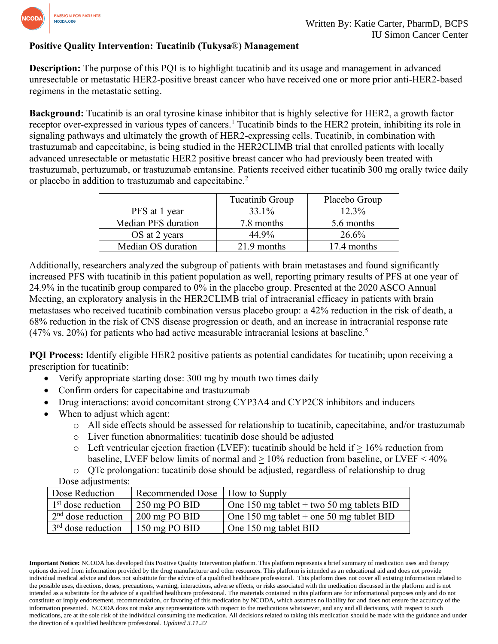

## **Positive Quality Intervention: Tucatinib (Tukysa**®**) Management**

**Description:** The purpose of this PQI is to highlight tucatinib and its usage and management in advanced unresectable or metastatic HER2-positive breast cancer who have received one or more prior anti-HER2-based regimens in the metastatic setting.

**Background:** Tucatinib is an oral tyrosine kinase inhibitor that is highly selective for HER2, a growth factor receptor over-expressed in various types of cancers.<sup>1</sup> Tucatinib binds to the HER2 protein, inhibiting its role in signaling pathways and ultimately the growth of HER2-expressing cells. Tucatinib, in combination with trastuzumab and capecitabine, is being studied in the HER2CLIMB trial that enrolled patients with locally advanced unresectable or metastatic HER2 positive breast cancer who had previously been treated with trastuzumab, pertuzumab, or trastuzumab emtansine. Patients received either tucatinib 300 mg orally twice daily or placebo in addition to trastuzumab and capecitabine.<sup>2</sup>

|                     | Tucatinib Group | Placebo Group |
|---------------------|-----------------|---------------|
| PFS at 1 year       | 33.1%           | 12.3%         |
| Median PFS duration | 7.8 months      | 5.6 months    |
| OS at 2 years       | 44.9%           | 26.6%         |
| Median OS duration  | 21.9 months     | 17.4 months   |

Additionally, researchers analyzed the subgroup of patients with brain metastases and found significantly increased PFS with tucatinib in this patient population as well, reporting primary results of PFS at one year of 24.9% in the tucatinib group compared to 0% in the placebo group. Presented at the 2020 ASCO Annual Meeting, an exploratory analysis in the HER2CLIMB trial of intracranial efficacy in patients with brain metastases who received tucatinib combination versus placebo group: a 42% reduction in the risk of death, a 68% reduction in the risk of CNS disease progression or death, and an increase in intracranial response rate  $(47\% \text{ vs. } 20\%)$  for patients who had active measurable intracranial lesions at baseline.<sup>5</sup>

**PQI Process:** Identify eligible HER2 positive patients as potential candidates for tucatinib; upon receiving a prescription for tucatinib:

- Verify appropriate starting dose: 300 mg by mouth two times daily
- Confirm orders for capecitabine and trastuzumab
- Drug interactions: avoid concomitant strong CYP3A4 and CYP2C8 inhibitors and inducers
- When to adjust which agent:
	- o All side effects should be assessed for relationship to tucatinib, capecitabine, and/or trastuzumab
	- o Liver function abnormalities: tucatinib dose should be adjusted
	- $\circ$  Left ventricular ejection fraction (LVEF): tucatinib should be held if  $> 16\%$  reduction from baseline, LVEF below limits of normal and > 10% reduction from baseline, or LVEF < 40%
	- o QTc prolongation: tucatinib dose should be adjusted, regardless of relationship to drug

Dose adjustments:

| Dose Reduction       | Recommended Dose   How to Supply |                                           |
|----------------------|----------------------------------|-------------------------------------------|
| $1st$ dose reduction | $250 \text{ mg}$ PO BID          | One 150 mg tablet + two 50 mg tablets BID |
| $2nd$ dose reduction | $200 \text{ mg }$ PO BID         | One 150 mg tablet + one 50 mg tablet BID  |
| $3rd$ dose reduction | 150 mg PO BID                    | One 150 mg tablet BID                     |

**Important Notice:** NCODA has developed this Positive Quality Intervention platform. This platform represents a brief summary of medication uses and therapy options derived from information provided by the drug manufacturer and other resources. This platform is intended as an educational aid and does not provide individual medical advice and does not substitute for the advice of a qualified healthcare professional. This platform does not cover all existing information related to the possible uses, directions, doses, precautions, warning, interactions, adverse effects, or risks associated with the medication discussed in the platform and is not intended as a substitute for the advice of a qualified healthcare professional. The materials contained in this platform are for informational purposes only and do not constitute or imply endorsement, recommendation, or favoring of this medication by NCODA, which assumes no liability for and does not ensure the accuracy of the information presented. NCODA does not make any representations with respect to the medications whatsoever, and any and all decisions, with respect to such medications, are at the sole risk of the individual consuming the medication. All decisions related to taking this medication should be made with the guidance and under the direction of a qualified healthcare professional. *Updated 3.11.22*